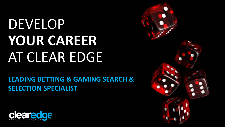# DEVELOP **YOUR CAREER**  AT CLEAR EDGE

**LEADING BETTING & GAMING SEARCH & SELECTION SPECIALIST**



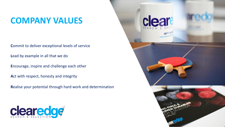### **COMPANY VALUES**

**C**ommit to deliver exceptional levels of service

**L**ead by example in all that we do

**E**ncourage, inspire and challenge each other

**A**ct with respect, honesty and integrity

**R**ealise your potential through hard work and determination



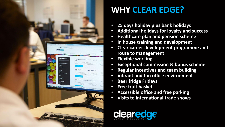

## **WHY CLEAR EDGE?**

- **25 days holiday plus bank holidays**
- **Additional holidays for loyalty and success**
- **Healthcare plan and pension scheme**
- **In house training and development**
- **Clear career development programme and route to management**
- **Flexible working**
- **Exceptional commission & bonus scheme**
- **Regular incentives and team building**
- **Vibrant and fun office environment**
- **Beer fridge Fridays**
- **Free fruit basket**
- **Accessible office and free parking**
- **Visits to international trade shows**

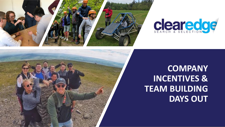



### **COMPANY INCENTIVES & TEAM BUILDING DAYS OUT**